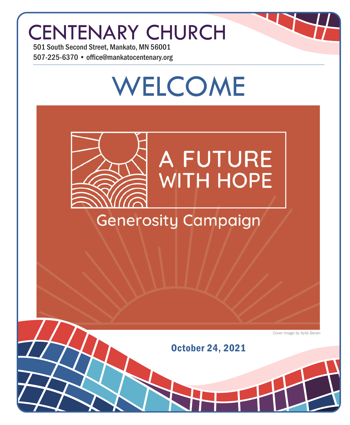## CENTENARY CHURCH

501 South Second Street, Mankato, MN 56001 507-225-6370 • office@mankatocentenary.org

# WELCOME **A FUTURE WITH HOPE Generosity Campaign**

*Cover image by Kylie Beran*

October 24, 2021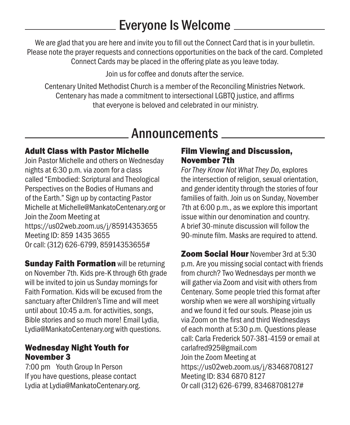## Everyone Is Welcome

We are glad that you are here and invite you to fill out the Connect Card that is in your bulletin. Please note the prayer requests and connections opportunities on the back of the card. Completed Connect Cards may be placed in the offering plate as you leave today.

Join us for coffee and donuts after the service.

Centenary United Methodist Church is a member of the Reconciling Ministries Network. Centenary has made a commitment to intersectional LGBTQ justice, and affirms that everyone is beloved and celebrated in our ministry.

## Announcements

#### Adult Class with Pastor Michelle

Join Pastor Michelle and others on Wednesday nights at 6:30 p.m. via zoom for a class called "Embodied: Scriptural and Theological Perspectives on the Bodies of Humans and of the Earth." Sign up by contacting Pastor Michelle at Michelle@MankatoCentenary.org or Join the Zoom Meeting at https://us02web.zoom.us/j/85914353655 Meeting ID: 859 1435 3655 Or call: (312) 626-6799, 85914353655#

**Sunday Faith Formation will be returning** on November 7th. Kids pre-K through 6th grade will be invited to join us Sunday mornings for Faith Formation. Kids will be excused from the sanctuary after Children's Time and will meet until about 10:45 a.m. for activities, songs, Bible stories and so much more! Email Lydia, Lydia@MankatoCentenary.org with questions.

#### Wednesday Night Youth for November 3

7:00 pm Youth Group In Person If you have questions, please contact Lydia at Lydia@MankatoCentenary.org.

#### Film Viewing and Discussion, November 7th

*For They Know Not What They Do*, explores the intersection of religion, sexual orientation, and gender identity through the stories of four families of faith. Join us on Sunday, November 7th at 6:00 p.m., as we explore this important issue within our denomination and country. A brief 30-minute discussion will follow the 90-minute film. Masks are required to attend.

**Zoom Social Hour November 3rd at 5:30** p.m. Are you missing social contact with friends from church? Two Wednesdays per month we will gather via Zoom and visit with others from Centenary. Some people tried this format after worship when we were all worshiping virtually and we found it fed our souls. Please join us via Zoom on the first and third Wednesdays of each month at 5:30 p.m. Questions please call: Carla Frederick 507-381-4159 or email at carlafred925@gmail.com Join the Zoom Meeting at https://us02web.zoom.us/j/83468708127 Meeting ID: 834 6870 8127 Or call (312) 626-6799, 83468708127#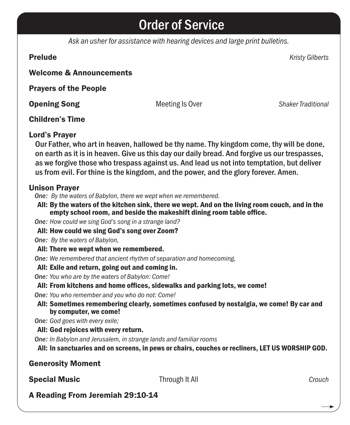## Order of Service

*Ask an usher for assistance with hearing devices and large print bulletins.*

Prelude *Kristy Gilberts*

#### Welcome & Announcements

Prayers of the People

**Opening Song Traditional Conventional Meeting Is Over Traditional Conventional Conventional Conventional Conventional Conventional Conventional Conventional Conventional Conventional Conventional Conventional Conventional** 

#### Children's Time

#### Lord's Prayer

Our Father, who art in heaven, hallowed be thy name. Thy kingdom come, thy will be done, on earth as it is in heaven. Give us this day our daily bread. And forgive us our trespasses, as we forgive those who trespass against us. And lead us not into temptation, but deliver us from evil. For thine is the kingdom, and the power, and the glory forever. Amen.

#### Unison Prayer

*One: By the waters of Babylon, there we wept when we remembered.*

All: By the waters of the kitchen sink, there we wept. And on the living room couch, and in the empty school room, and beside the makeshift dining room table office.

*One: How could we sing God's song in a strange land?*

All: How could we sing God's song over Zoom?

#### *One: By the waters of Babylon,*

All: There we wept when we remembered.

*One: We remembered that ancient rhythm of separation and homecoming,*

#### All: Exile and return, going out and coming in.

*One: You who are by the waters of Babylon: Come!*

#### All: From kitchens and home offices, sidewalks and parking lots, we come!

*One: You who remember and you who do not: Come!*

All: Sometimes remembering clearly, sometimes confused by nostalgia, we come! By car and by computer, we come!

*One: God goes with every exile;*

#### All: God rejoices with every return.

*One: In Babylon and Jerusalem, in strange lands and familiar rooms*

All: In sanctuaries and on screens, in pews or chairs, couches or recliners, LET US WORSHIP GOD.

Generosity Moment

#### **Special Music** Crouch **Through It All** *Crouch* Crouch

A Reading From Jeremiah 29:10-14